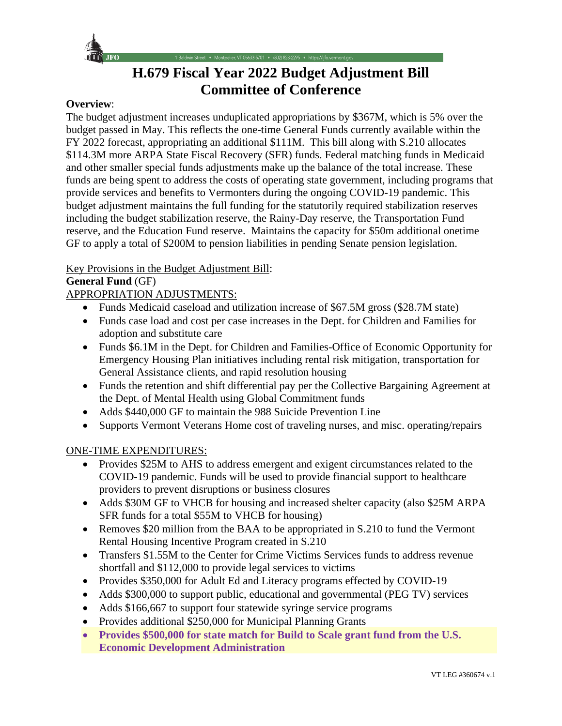

**H.679 Fiscal Year 2022 Budget Adjustment Bill Committee of Conference**

• Montpelier, VT 05633-5701 • (802) 828-2295 • https://ljfo.vermont.gov

### **Overview**:

The budget adjustment increases unduplicated appropriations by \$367M, which is 5% over the budget passed in May. This reflects the one-time General Funds currently available within the FY 2022 forecast, appropriating an additional \$111M. This bill along with S.210 allocates \$114.3M more ARPA State Fiscal Recovery (SFR) funds. Federal matching funds in Medicaid and other smaller special funds adjustments make up the balance of the total increase. These funds are being spent to address the costs of operating state government, including programs that provide services and benefits to Vermonters during the ongoing COVID-19 pandemic. This budget adjustment maintains the full funding for the statutorily required stabilization reserves including the budget stabilization reserve, the Rainy-Day reserve, the Transportation Fund reserve, and the Education Fund reserve. Maintains the capacity for \$50m additional onetime GF to apply a total of \$200M to pension liabilities in pending Senate pension legislation.

Key Provisions in the Budget Adjustment Bill:

## **General Fund** (GF)

APPROPRIATION ADJUSTMENTS:

- Funds Medicaid caseload and utilization increase of \$67.5M gross (\$28.7M state)
- Funds case load and cost per case increases in the Dept. for Children and Families for adoption and substitute care
- Funds \$6.1M in the Dept. for Children and Families-Office of Economic Opportunity for Emergency Housing Plan initiatives including rental risk mitigation, transportation for General Assistance clients, and rapid resolution housing
- Funds the retention and shift differential pay per the Collective Bargaining Agreement at the Dept. of Mental Health using Global Commitment funds
- Adds \$440,000 GF to maintain the 988 Suicide Prevention Line
- Supports Vermont Veterans Home cost of traveling nurses, and misc. operating/repairs

# ONE-TIME EXPENDITURES:

- Provides \$25M to AHS to address emergent and exigent circumstances related to the COVID-19 pandemic. Funds will be used to provide financial support to healthcare providers to prevent disruptions or business closures
- Adds \$30M GF to VHCB for housing and increased shelter capacity (also \$25M ARPA) SFR funds for a total \$55M to VHCB for housing)
- Removes \$20 million from the BAA to be appropriated in S.210 to fund the Vermont Rental Housing Incentive Program created in S.210
- Transfers \$1.55M to the Center for Crime Victims Services funds to address revenue shortfall and \$112,000 to provide legal services to victims
- Provides \$350,000 for Adult Ed and Literacy programs effected by COVID-19
- Adds \$300,000 to support public, educational and governmental (PEG TV) services
- Adds \$166,667 to support four statewide syringe service programs
- Provides additional \$250,000 for Municipal Planning Grants
- **Provides \$500,000 for state match for Build to Scale grant fund from the U.S. Economic Development Administration**